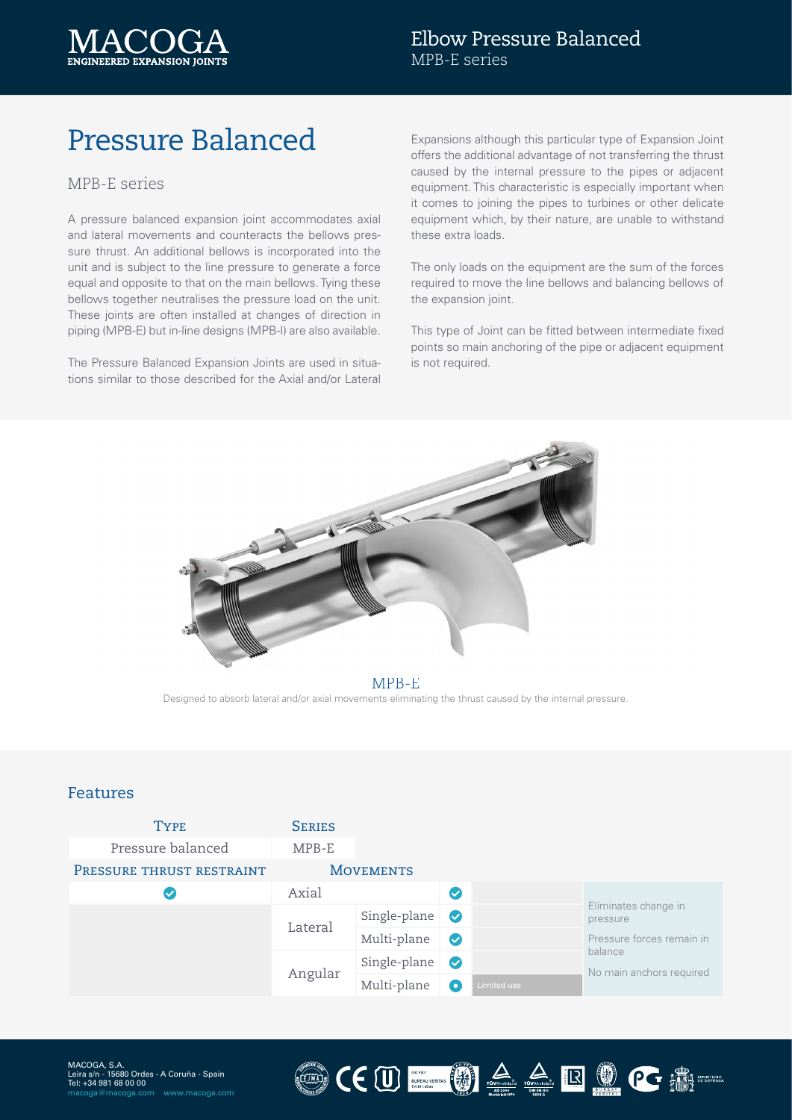

# Pressure Balanced

#### MPB-E series

A pressure balanced expansion joint accommodates axial and lateral movements and counteracts the bellows pressure thrust. An additional bellows is incorporated into the unit and is subject to the line pressure to generate a force equal and opposite to that on the main bellows. Tying these bellows together neutralises the pressure load on the unit. These joints are often installed at changes of direction in piping (MPB-E) but in-line designs (MPB-I) are also available.

The Pressure Balanced Expansion Joints are used in situations similar to those described for the Axial and/or Lateral

Expansions although this particular type of Expansion Joint offers the additional advantage of not transferring the thrust caused by the internal pressure to the pipes or adjacent equipment. This characteristic is especially important when it comes to joining the pipes to turbines or other delicate equipment which, by their nature, are unable to withstand these extra loads.

The only loads on the equipment are the sum of the forces required to move the line bellows and balancing bellows of the expansion joint.

This type of Joint can be fitted between intermediate fixed points so main anchoring of the pipe or adjacent equipment is not required.



MPB-E

Designed to absorb lateral and/or axial movements eliminating the thrust caused by the internal pressure.

#### Features

| <b>TYPE</b>               | <b>SERIES</b>    |              |              |             |                                                                                                      |
|---------------------------|------------------|--------------|--------------|-------------|------------------------------------------------------------------------------------------------------|
| Pressure balanced         | MPB-E            |              |              |             |                                                                                                      |
| PRESSURE THRUST RESTRAINT | <b>MOVEMENTS</b> |              |              |             |                                                                                                      |
|                           | Axial            |              | $\checkmark$ |             |                                                                                                      |
|                           | Lateral          | Single-plane | $\bullet$    |             | Eliminates change in<br>pressure<br>Pressure forces remain in<br>balance<br>No main anchors required |
|                           |                  | Multi-plane  | $\bullet$    |             |                                                                                                      |
|                           | Angular          | Single-plane | $\bullet$    |             |                                                                                                      |
|                           |                  | Multi-plane  | O            | Limited use |                                                                                                      |

CEU MARIE ROCE